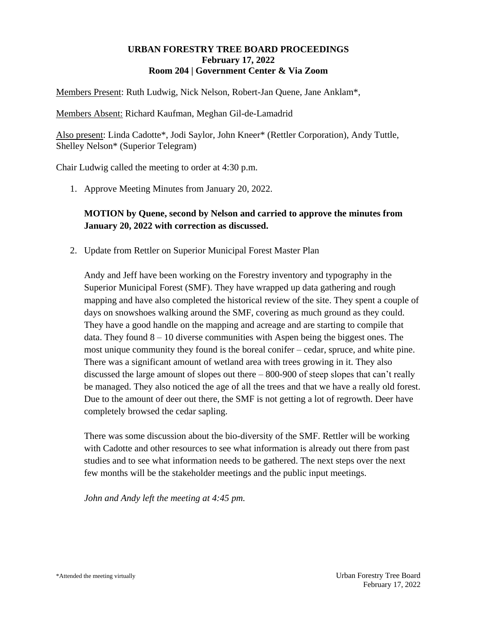### **URBAN FORESTRY TREE BOARD PROCEEDINGS February 17, 2022 Room 204 | Government Center & Via Zoom**

Members Present: Ruth Ludwig, Nick Nelson, Robert-Jan Quene, Jane Anklam\*,

Members Absent: Richard Kaufman, Meghan Gil-de-Lamadrid

Also present: Linda Cadotte\*, Jodi Saylor, John Kneer\* (Rettler Corporation), Andy Tuttle, Shelley Nelson\* (Superior Telegram)

Chair Ludwig called the meeting to order at 4:30 p.m.

1. Approve Meeting Minutes from January 20, 2022.

## **MOTION by Quene, second by Nelson and carried to approve the minutes from January 20, 2022 with correction as discussed.**

2. Update from Rettler on Superior Municipal Forest Master Plan

Andy and Jeff have been working on the Forestry inventory and typography in the Superior Municipal Forest (SMF). They have wrapped up data gathering and rough mapping and have also completed the historical review of the site. They spent a couple of days on snowshoes walking around the SMF, covering as much ground as they could. They have a good handle on the mapping and acreage and are starting to compile that data. They found  $8 - 10$  diverse communities with Aspen being the biggest ones. The most unique community they found is the boreal conifer – cedar, spruce, and white pine. There was a significant amount of wetland area with trees growing in it. They also discussed the large amount of slopes out there – 800-900 of steep slopes that can't really be managed. They also noticed the age of all the trees and that we have a really old forest. Due to the amount of deer out there, the SMF is not getting a lot of regrowth. Deer have completely browsed the cedar sapling.

There was some discussion about the bio-diversity of the SMF. Rettler will be working with Cadotte and other resources to see what information is already out there from past studies and to see what information needs to be gathered. The next steps over the next few months will be the stakeholder meetings and the public input meetings.

*John and Andy left the meeting at 4:45 pm.*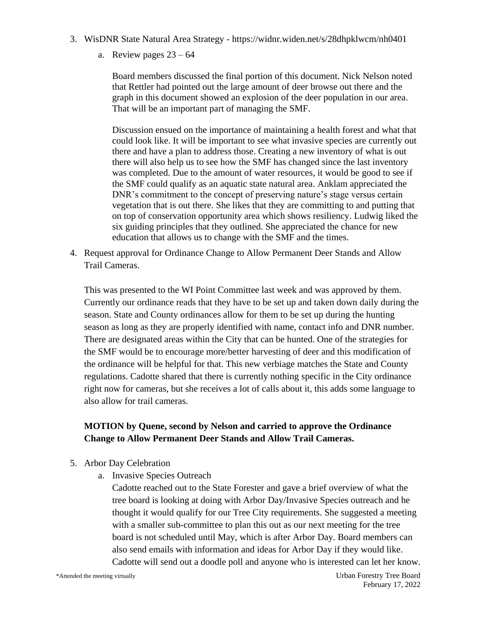- 3. WisDNR State Natural Area Strategy <https://widnr.widen.net/s/28dhpklwcm/nh0401>
	- a. Review pages  $23 64$

Board members discussed the final portion of this document. Nick Nelson noted that Rettler had pointed out the large amount of deer browse out there and the graph in this document showed an explosion of the deer population in our area. That will be an important part of managing the SMF.

Discussion ensued on the importance of maintaining a health forest and what that could look like. It will be important to see what invasive species are currently out there and have a plan to address those. Creating a new inventory of what is out there will also help us to see how the SMF has changed since the last inventory was completed. Due to the amount of water resources, it would be good to see if the SMF could qualify as an aquatic state natural area. Anklam appreciated the DNR's commitment to the concept of preserving nature's stage versus certain vegetation that is out there. She likes that they are committing to and putting that on top of conservation opportunity area which shows resiliency. Ludwig liked the six guiding principles that they outlined. She appreciated the chance for new education that allows us to change with the SMF and the times.

4. Request approval for Ordinance Change to Allow Permanent Deer Stands and Allow Trail Cameras.

This was presented to the WI Point Committee last week and was approved by them. Currently our ordinance reads that they have to be set up and taken down daily during the season. State and County ordinances allow for them to be set up during the hunting season as long as they are properly identified with name, contact info and DNR number. There are designated areas within the City that can be hunted. One of the strategies for the SMF would be to encourage more/better harvesting of deer and this modification of the ordinance will be helpful for that. This new verbiage matches the State and County regulations. Cadotte shared that there is currently nothing specific in the City ordinance right now for cameras, but she receives a lot of calls about it, this adds some language to also allow for trail cameras.

## **MOTION by Quene, second by Nelson and carried to approve the Ordinance Change to Allow Permanent Deer Stands and Allow Trail Cameras.**

- 5. Arbor Day Celebration
	- a. Invasive Species Outreach

Cadotte reached out to the State Forester and gave a brief overview of what the tree board is looking at doing with Arbor Day/Invasive Species outreach and he thought it would qualify for our Tree City requirements. She suggested a meeting with a smaller sub-committee to plan this out as our next meeting for the tree board is not scheduled until May, which is after Arbor Day. Board members can also send emails with information and ideas for Arbor Day if they would like. Cadotte will send out a doodle poll and anyone who is interested can let her know.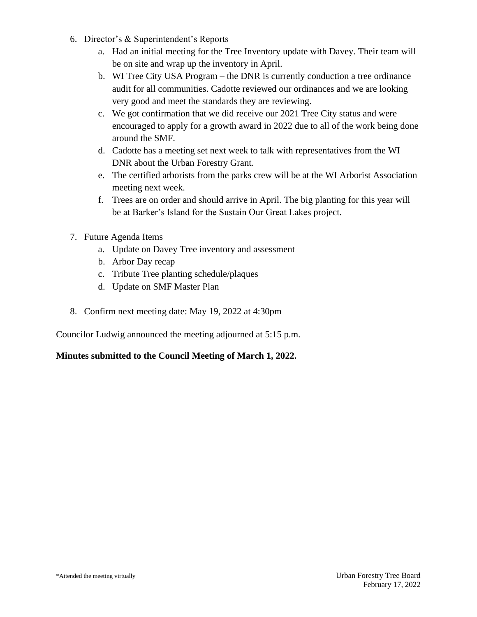- 6. Director's & Superintendent's Reports
	- a. Had an initial meeting for the Tree Inventory update with Davey. Their team will be on site and wrap up the inventory in April.
	- b. WI Tree City USA Program the DNR is currently conduction a tree ordinance audit for all communities. Cadotte reviewed our ordinances and we are looking very good and meet the standards they are reviewing.
	- c. We got confirmation that we did receive our 2021 Tree City status and were encouraged to apply for a growth award in 2022 due to all of the work being done around the SMF.
	- d. Cadotte has a meeting set next week to talk with representatives from the WI DNR about the Urban Forestry Grant.
	- e. The certified arborists from the parks crew will be at the WI Arborist Association meeting next week.
	- f. Trees are on order and should arrive in April. The big planting for this year will be at Barker's Island for the Sustain Our Great Lakes project.
- 7. Future Agenda Items
	- a. Update on Davey Tree inventory and assessment
	- b. Arbor Day recap
	- c. Tribute Tree planting schedule/plaques
	- d. Update on SMF Master Plan
- 8. Confirm next meeting date: May 19, 2022 at 4:30pm

Councilor Ludwig announced the meeting adjourned at 5:15 p.m.

## **Minutes submitted to the Council Meeting of March 1, 2022.**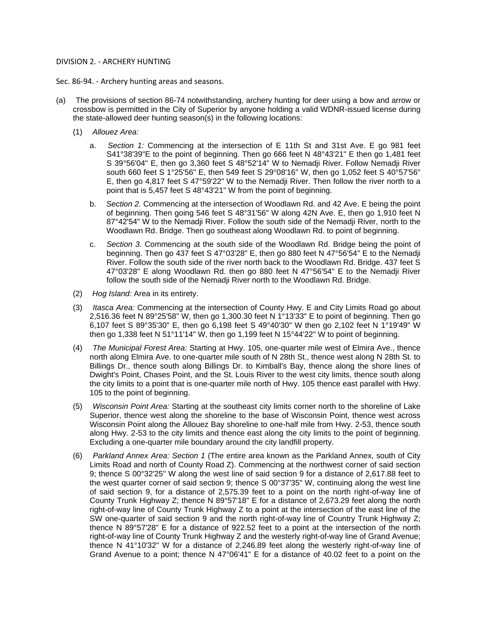#### DIVISION 2. - ARCHERY HUNTING

Sec. 86-94. - Archery hunting areas and seasons.

- (a) The provisions of section 86-74 notwithstanding, archery hunting for deer using a bow and arrow or crossbow is permitted in the City of Superior by anyone holding a valid WDNR-issued license during the state-allowed deer hunting season(s) in the following locations:
	- (1) *Allouez Area:*
		- a. *Section 1:* Commencing at the intersection of E 11th St and 31st Ave. E go 981 feet S41°38'39"E to the point of beginning. Then go 666 feet N 48°43'21" E then go 1,481 feet S 39°56'04" E, then go 3,360 feet S 48°52'14" W to Nemadji River. Follow Nemadji River south 660 feet S 1°25'56" E, then 549 feet S 29°08'16" W, then go 1,052 feet S 40°57'56" E, then go 4,817 feet S 47°59'22" W to the Nemadji River. Then follow the river north to a point that is 5,457 feet S 48°43'21" W from the point of beginning.
		- b. *Section 2.* Commencing at the intersection of Woodlawn Rd. and 42 Ave. E being the point of beginning. Then going 546 feet S 48°31'56" W along 42N Ave. E, then go 1,910 feet N 87°42'54" W to the Nemadji River. Follow the south side of the Nemadji River, north to the Woodlawn Rd. Bridge. Then go southeast along Woodlawn Rd. to point of beginning.
		- c. *Section 3.* Commencing at the south side of the Woodlawn Rd. Bridge being the point of beginning. Then go 437 feet S 47°03'28" E, then go 880 feet N 47°56'54" E to the Nemadji River. Follow the south side of the river north back to the Woodlawn Rd. Bridge. 437 feet S 47°03'28" E along Woodlawn Rd. then go 880 feet N 47°56'54" E to the Nemadji River follow the south side of the Nemadji River north to the Woodlawn Rd. Bridge.
	- (2) *Hog Island:* Area in its entirety.
	- (3) *Itasca Area:* Commencing at the intersection of County Hwy. E and City Limits Road go about 2,516.36 feet N 89°25'58" W, then go 1,300.30 feet N 1°13'33" E to point of beginning. Then go 6,107 feet S 89°35'30" E, then go 6,198 feet S 49°40'30" W then go 2,102 feet N 1°19'49" W then go 1,338 feet N 51°11'14" W, then go 1,199 feet N 15°44'22" W to point of beginning.
	- (4) *The Municipal Forest Area:* Starting at Hwy. 105, one-quarter mile west of Elmira Ave., thence north along Elmira Ave. to one-quarter mile south of N 28th St., thence west along N 28th St. to Billings Dr., thence south along Billings Dr. to Kimball's Bay, thence along the shore lines of Dwight's Point, Chases Point, and the St. Louis River to the west city limits, thence south along the city limits to a point that is one-quarter mile north of Hwy. 105 thence east parallel with Hwy. 105 to the point of beginning.
	- (5) *Wisconsin Point Area:* Starting at the southeast city limits corner north to the shoreline of Lake Superior, thence west along the shoreline to the base of Wisconsin Point, thence west across Wisconsin Point along the Allouez Bay shoreline to one-half mile from Hwy. 2-53, thence south along Hwy. 2-53 to the city limits and thence east along the city limits to the point of beginning. Excluding a one-quarter mile boundary around the city landfill property.
	- (6) *Parkland Annex Area: Section 1* (The entire area known as the Parkland Annex, south of City Limits Road and north of County Road Z). Commencing at the northwest corner of said section 9; thence S 00°32'25" W along the west line of said section 9 for a distance of 2,617.88 feet to the west quarter corner of said section 9; thence S 00°37'35" W, continuing along the west line of said section 9, for a distance of 2,575.39 feet to a point on the north right-of-way line of County Trunk Highway Z; thence N 89°57'18" E for a distance of 2,673.29 feet along the north right-of-way line of County Trunk Highway Z to a point at the intersection of the east line of the SW one-quarter of said section 9 and the north right-of-way line of Country Trunk Highway Z; thence N 89°57'28" E for a distance of 922.52 feet to a point at the intersection of the north right-of-way line of County Trunk Highway Z and the westerly right-of-way line of Grand Avenue; thence N 41°10'32" W for a distance of 2,246.89 feet along the westerly right-of-way line of Grand Avenue to a point; thence N 47°06'41" E for a distance of 40.02 feet to a point on the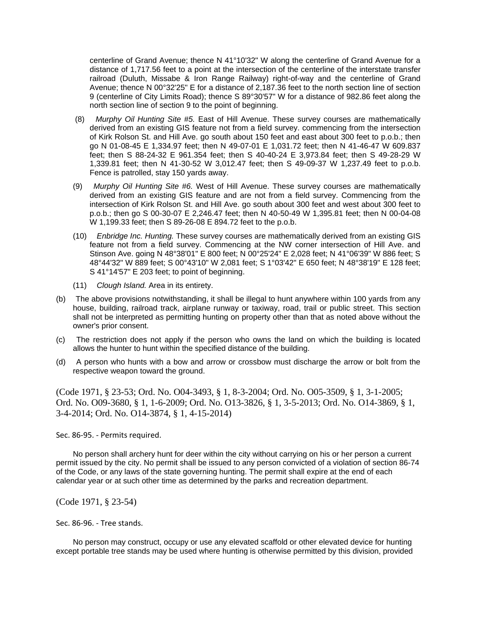centerline of Grand Avenue; thence N 41°10'32" W along the centerline of Grand Avenue for a distance of 1,717.56 feet to a point at the intersection of the centerline of the interstate transfer railroad (Duluth, Missabe & Iron Range Railway) right-of-way and the centerline of Grand Avenue; thence N 00°32'25" E for a distance of 2,187.36 feet to the north section line of section 9 (centerline of City Limits Road); thence S 89°30'57" W for a distance of 982.86 feet along the north section line of section 9 to the point of beginning.

- (8) *Murphy Oil Hunting Site #5.* East of Hill Avenue. These survey courses are mathematically derived from an existing GIS feature not from a field survey. commencing from the intersection of Kirk Rolson St. and Hill Ave. go south about 150 feet and east about 300 feet to p.o.b.; then go N 01-08-45 E 1,334.97 feet; then N 49-07-01 E 1,031.72 feet; then N 41-46-47 W 609.837 feet; then S 88-24-32 E 961.354 feet; then S 40-40-24 E 3,973.84 feet; then S 49-28-29 W 1,339.81 feet; then N 41-30-52 W 3,012.47 feet; then S 49-09-37 W 1,237.49 feet to p.o.b. Fence is patrolled, stay 150 yards away.
- (9) *Murphy Oil Hunting Site #6.* West of Hill Avenue. These survey courses are mathematically derived from an existing GIS feature and are not from a field survey. Commencing from the intersection of Kirk Rolson St. and Hill Ave. go south about 300 feet and west about 300 feet to p.o.b.; then go S 00-30-07 E 2,246.47 feet; then N 40-50-49 W 1,395.81 feet; then N 00-04-08 W 1,199.33 feet; then S 89-26-08 E 894.72 feet to the p.o.b.
- (10) *Enbridge Inc. Hunting.* These survey courses are mathematically derived from an existing GIS feature not from a field survey. Commencing at the NW corner intersection of Hill Ave. and Stinson Ave. going N 48°38'01" E 800 feet; N 00°25'24" E 2,028 feet; N 41°06'39" W 886 feet; S 48°44'32" W 889 feet; S 00°43'10" W 2,081 feet; S 1°03'42" E 650 feet; N 48°38'19" E 128 feet; S 41°14'57" E 203 feet; to point of beginning.
- (11) *Clough Island.* Area in its entirety.
- (b) The above provisions notwithstanding, it shall be illegal to hunt anywhere within 100 yards from any house, building, railroad track, airplane runway or taxiway, road, trail or public street. This section shall not be interpreted as permitting hunting on property other than that as noted above without the owner's prior consent.
- (c) The restriction does not apply if the person who owns the land on which the building is located allows the hunter to hunt within the specified distance of the building.
- (d) A person who hunts with a bow and arrow or crossbow must discharge the arrow or bolt from the respective weapon toward the ground.

(Code 1971, § 23-53; Ord. No. O04-3493, § 1, 8-3-2004; Ord. No. O05-3509, § 1, 3-1-2005; Ord. No. O09-3680, § 1, 1-6-2009; Ord. No. O13-3826, § 1, 3-5-2013; Ord. No. O14-3869, § 1, 3-4-2014; Ord. No. O14-3874, § 1, 4-15-2014)

Sec. 86-95. - Permits required.

No person shall archery hunt for deer within the city without carrying on his or her person a current permit issued by the city. No permit shall be issued to any person convicted of a violation of section 86-74 of the Code, or any laws of the state governing hunting. The permit shall expire at the end of each calendar year or at such other time as determined by the parks and recreation department.

(Code 1971, § 23-54)

Sec. 86-96. - Tree stands.

No person may construct, occupy or use any elevated scaffold or other elevated device for hunting except portable tree stands may be used where hunting is otherwise permitted by this division, provided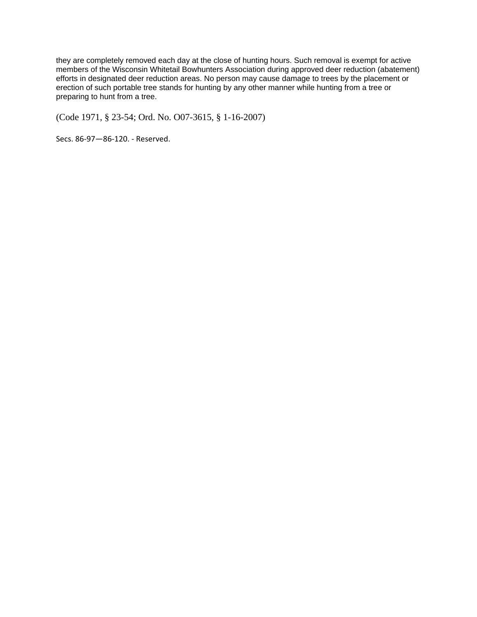they are completely removed each day at the close of hunting hours. Such removal is exempt for active members of the Wisconsin Whitetail Bowhunters Association during approved deer reduction (abatement) efforts in designated deer reduction areas. No person may cause damage to trees by the placement or erection of such portable tree stands for hunting by any other manner while hunting from a tree or preparing to hunt from a tree.

(Code 1971, § 23-54; Ord. No. O07-3615, § 1-16-2007)

Secs. 86-97—86-120. - Reserved.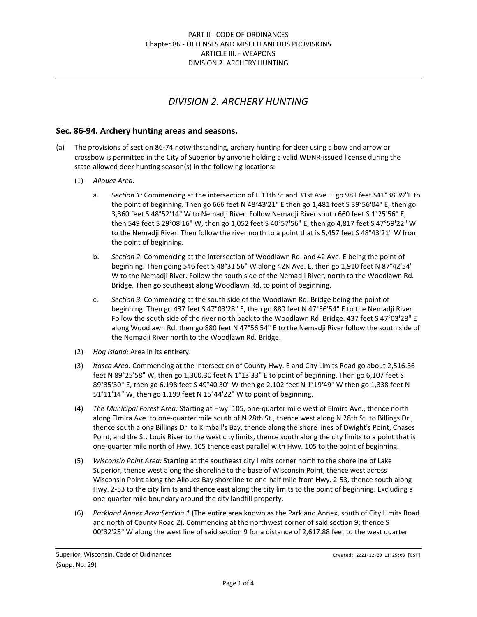# *DIVISION 2. ARCHERY HUNTING*

### **Sec. 86‐94. Archery hunting areas and seasons.**

- (a) The provisions of section 86‐74 notwithstanding, archery hunting for deer using a bow and arrow or crossbow is permitted in the City of Superior by anyone holding a valid WDNR‐issued license during the state-allowed deer hunting season(s) in the following locations:
	- (1) *Allouez Area:*
		- a. *Section 1:* Commencing at the intersection of E 11th St and 31st Ave. E go 981 feet S41°38'39"E to the point of beginning. Then go 666 feet N 48°43'21" E then go 1,481 feet S 39°56'04" E, then go 3,360 feet S 48°52'14" W to Nemadji River. Follow Nemadji River south 660 feet S 1°25'56" E, then 549 feet S 29°08'16" W, then go 1,052 feet S 40°57'56" E, then go 4,817 feet S 47°59'22" W to the Nemadji River. Then follow the river north to a point that is 5,457 feet S 48°43'21" W from the point of beginning.
		- b. *Section 2.* Commencing at the intersection of Woodlawn Rd. and 42 Ave. E being the point of beginning. Then going 546 feet S 48°31'56" W along 42N Ave. E, then go 1,910 feet N 87°42'54" W to the Nemadji River. Follow the south side of the Nemadji River, north to the Woodlawn Rd. Bridge. Then go southeast along Woodlawn Rd. to point of beginning.
		- c. *Section 3.* Commencing at the south side of the Woodlawn Rd. Bridge being the point of beginning. Then go 437 feet S 47°03'28" E, then go 880 feet N 47°56'54" E to the Nemadji River. Follow the south side of the river north back to the Woodlawn Rd. Bridge. 437 feet S 47°03'28" E along Woodlawn Rd. then go 880 feet N 47°56'54" E to the Nemadji River follow the south side of the Nemadji River north to the Woodlawn Rd. Bridge.
	- (2) *Hog Island:* Area in its entirety.
	- (3) *Itasca Area:* Commencing at the intersection of County Hwy. E and City Limits Road go about 2,516.36 feet N 89°25'58" W, then go 1,300.30 feet N 1°13'33" E to point of beginning. Then go 6,107 feet S 89°35'30" E, then go 6,198 feet S 49°40'30" W then go 2,102 feet N 1°19'49" W then go 1,338 feet N 51°11'14" W, then go 1,199 feet N 15°44'22" W to point of beginning.
	- (4) *The Municipal Forest Area:* Starting at Hwy. 105, one‐quarter mile west of Elmira Ave., thence north along Elmira Ave. to one‐quarter mile south of N 28th St., thence west along N 28th St. to Billings Dr., thence south along Billings Dr. to Kimball's Bay, thence along the shore lines of Dwight's Point, Chases Point, and the St. Louis River to the west city limits, thence south along the city limits to a point that is one‐quarter mile north of Hwy. 105 thence east parallel with Hwy. 105 to the point of beginning.
	- (5) *Wisconsin Point Area:* Starting at the southeast city limits corner north to the shoreline of Lake Superior, thence west along the shoreline to the base of Wisconsin Point, thence west across Wisconsin Point along the Allouez Bay shoreline to one‐half mile from Hwy. 2‐53, thence south along Hwy. 2‐53 to the city limits and thence east along the city limits to the point of beginning. Excluding a one‐quarter mile boundary around the city landfill property.
	- (6) *Parkland Annex Area:Section 1* (The entire area known as the Parkland Annex, south of City Limits Road and north of County Road Z). Commencing at the northwest corner of said section 9; thence S 00°32'25" W along the west line of said section 9 for a distance of 2,617.88 feet to the west quarter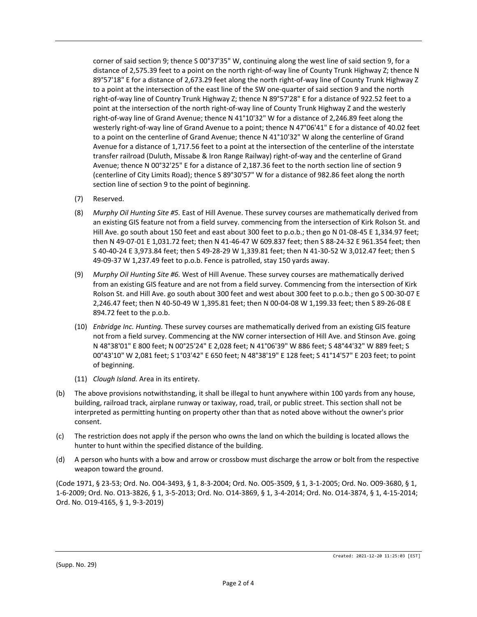corner of said section 9; thence S 00°37'35" W, continuing along the west line of said section 9, for a distance of 2,575.39 feet to a point on the north right-of-way line of County Trunk Highway Z; thence N 89°57'18" E for a distance of 2,673.29 feet along the north right‐of‐way line of County Trunk Highway Z to a point at the intersection of the east line of the SW one-quarter of said section 9 and the north right‐of‐way line of Country Trunk Highway Z; thence N 89°57'28" E for a distance of 922.52 feet to a point at the intersection of the north right‐of‐way line of County Trunk Highway Z and the westerly right‐of‐way line of Grand Avenue; thence N 41°10'32" W for a distance of 2,246.89 feet along the westerly right-of-way line of Grand Avenue to a point; thence N 47°06'41" E for a distance of 40.02 feet to a point on the centerline of Grand Avenue; thence N 41°10'32" W along the centerline of Grand Avenue for a distance of 1,717.56 feet to a point at the intersection of the centerline of the interstate transfer railroad (Duluth, Missabe & Iron Range Railway) right‐of‐way and the centerline of Grand Avenue; thence N 00°32'25" E for a distance of 2,187.36 feet to the north section line of section 9 (centerline of City Limits Road); thence S 89°30'57" W for a distance of 982.86 feet along the north section line of section 9 to the point of beginning.

- (7) Reserved.
- (8) *Murphy Oil Hunting Site #5.* East of Hill Avenue. These survey courses are mathematically derived from an existing GIS feature not from a field survey. commencing from the intersection of Kirk Rolson St. and Hill Ave. go south about 150 feet and east about 300 feet to p.o.b.; then go N 01-08-45 E 1,334.97 feet; then N 49‐07‐01 E 1,031.72 feet; then N 41‐46‐47 W 609.837 feet; then S 88‐24‐32 E 961.354 feet; then S 40‐40‐24 E 3,973.84 feet; then S 49‐28‐29 W 1,339.81 feet; then N 41‐30‐52 W 3,012.47 feet; then S 49‐09‐37 W 1,237.49 feet to p.o.b. Fence is patrolled, stay 150 yards away.
- (9) *Murphy Oil Hunting Site #6.* West of Hill Avenue. These survey courses are mathematically derived from an existing GIS feature and are not from a field survey. Commencing from the intersection of Kirk Rolson St. and Hill Ave. go south about 300 feet and west about 300 feet to p.o.b.; then go S 00‐30‐07 E 2,246.47 feet; then N 40‐50‐49 W 1,395.81 feet; then N 00‐04‐08 W 1,199.33 feet; then S 89‐26‐08 E 894.72 feet to the p.o.b.
- (10) *Enbridge Inc. Hunting.* These survey courses are mathematically derived from an existing GIS feature not from a field survey. Commencing at the NW corner intersection of Hill Ave. and Stinson Ave. going N 48°38'01" E 800 feet; N 00°25'24" E 2,028 feet; N 41°06'39" W 886 feet; S 48°44'32" W 889 feet; S 00°43'10" W 2,081 feet; S 1°03'42" E 650 feet; N 48°38'19" E 128 feet; S 41°14'57" E 203 feet; to point of beginning.
- (11) *Clough Island.* Area in its entirety.
- (b) The above provisions notwithstanding, it shall be illegal to hunt anywhere within 100 yards from any house, building, railroad track, airplane runway or taxiway, road, trail, or public street. This section shall not be interpreted as permitting hunting on property other than that as noted above without the owner's prior consent.
- (c) The restriction does not apply if the person who owns the land on which the building is located allows the hunter to hunt within the specified distance of the building.
- (d) A person who hunts with a bow and arrow or crossbow must discharge the arrow or bolt from the respective weapon toward the ground.

(Code 1971, § 23‐53; Ord. No. O04‐3493, § 1, 8‐3‐2004; Ord. No. O05‐3509, § 1, 3‐1‐2005; Ord. No. O09‐3680, § 1, 1‐6‐2009; Ord. No. O13‐3826, § 1, 3‐5‐2013; Ord. No. O14‐3869, § 1, 3‐4‐2014; Ord. No. O14‐3874, § 1, 4‐15‐2014; Ord. No. O19‐4165, § 1, 9‐3‐2019)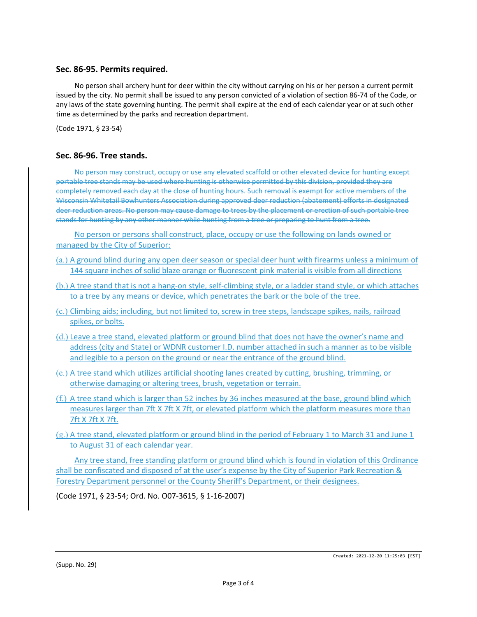### **Sec. 86‐95. Permits required.**

No person shall archery hunt for deer within the city without carrying on his or her person a current permit issued by the city. No permit shall be issued to any person convicted of a violation of section 86‐74 of the Code, or any laws of the state governing hunting. The permit shall expire at the end of each calendar year or at such other time as determined by the parks and recreation department.

(Code 1971, § 23‐54)

#### **Sec. 86‐96. Tree stands.**

No person may construct, occupy or use any elevated scaffold or other elevated device for hunting except portable tree stands may be used where hunting is otherwise permitted by this division, provided they are completely removed each day at the close of hunting hours. Such removal is exempt for active members of the Wisconsin Whitetail Bowhunters Association during approved deer reduction (abatement) efforts in designated deer reduction areas. No person may cause damage to trees by the placement or erection of such portable tree stands for hunting by any other manner while hunting from a tree or preparing to hunt from a tree.

No person or persons shall construct, place, occupy or use the following on lands owned or managed by the City of Superior:

- (a.) A ground blind during any open deer season or special deer hunt with firearms unless a minimum of 144 square inches of solid blaze orange or fluorescent pink material is visible from all directions
- (b.) A tree stand that is not a hang‐on style, self‐climbing style, or a ladder stand style, or which attaches to a tree by any means or device, which penetrates the bark or the bole of the tree.
- (c.) Climbing aids; including, but not limited to, screw in tree steps, landscape spikes, nails, railroad spikes, or bolts.
- (d.) Leave a tree stand, elevated platform or ground blind that does not have the owner's name and address (city and State) or WDNR customer I.D. number attached in such a manner as to be visible and legible to a person on the ground or near the entrance of the ground blind.
- (e.) A tree stand which utilizes artificial shooting lanes created by cutting, brushing, trimming, or otherwise damaging or altering trees, brush, vegetation or terrain.
- (f.) A tree stand which is larger than 52 inches by 36 inches measured at the base, ground blind which measures larger than 7ft X 7ft X 7ft, or elevated platform which the platform measures more than 7ft X 7ft X 7ft.
- $(g.)$  A tree stand, elevated platform or ground blind in the period of February 1 to March 31 and June 1 to August 31 of each calendar year.

Any tree stand, free standing platform or ground blind which is found in violation of this Ordinance shall be confiscated and disposed of at the user's expense by the City of Superior Park Recreation & Forestry Department personnel or the County Sheriff's Department, or their designees.

(Code 1971, § 23‐54; Ord. No. O07‐3615, § 1‐16‐2007)